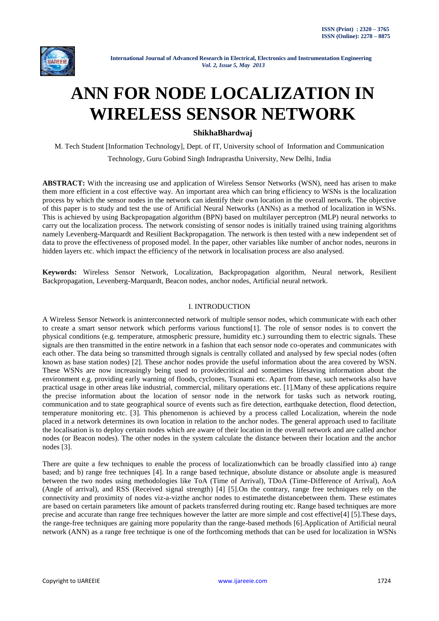

# **ANN FOR NODE LOCALIZATION IN WIRELESS SENSOR NETWORK**

# **ShikhaBhardwaj**

M. Tech Student [Information Technology], Dept. of IT, University school of Information and Communication

Technology, Guru Gobind Singh Indraprastha University, New Delhi, India

**ABSTRACT:** With the increasing use and application of Wireless Sensor Networks (WSN), need has arisen to make them more efficient in a cost effective way. An important area which can bring efficiency to WSNs is the localization process by which the sensor nodes in the network can identify their own location in the overall network. The objective of this paper is to study and test the use of Artificial Neural Networks (ANNs) as a method of localization in WSNs. This is achieved by using Backpropagation algorithm (BPN) based on multilayer perceptron (MLP) neural networks to carry out the localization process. The network consisting of sensor nodes is initially trained using training algorithms namely Levenberg-Marquardt and Resilient Backpropagation. The network is then tested with a new independent set of data to prove the effectiveness of proposed model. In the paper, other variables like number of anchor nodes, neurons in hidden layers etc. which impact the efficiency of the network in localisation process are also analysed.

**Keywords:** Wireless Sensor Network, Localization, Backpropagation algorithm, Neural network, Resilient Backpropagation, Levenberg-Marquardt, Beacon nodes, anchor nodes, Artificial neural network.

# I. INTRODUCTION

A Wireless Sensor Network is aninterconnected network of multiple sensor nodes, which communicate with each other to create a smart sensor network which performs various functions[1]. The role of sensor nodes is to convert the physical conditions (e.g. temperature, atmospheric pressure, humidity etc.) surrounding them to electric signals. These signals are then transmitted in the entire network in a fashion that each sensor node co-operates and communicates with each other. The data being so transmitted through signals is centrally collated and analysed by few special nodes (often known as base station nodes) [2]. These anchor nodes provide the useful information about the area covered by WSN. These WSNs are now increasingly being used to providecritical and sometimes lifesaving information about the environment e.g. providing early warning of floods, cyclones, Tsunami etc. Apart from these, such networks also have practical usage in other areas like industrial, commercial, military operations etc. [1].Many of these applications require the precise information about the location of sensor node in the network for tasks such as network routing, communication and to state geographical source of events such as fire detection, earthquake detection, flood detection, temperature monitoring etc. [3]. This phenomenon is achieved by a process called Localization, wherein the node placed in a network determines its own location in relation to the anchor nodes. The general approach used to facilitate the localisation is to deploy certain nodes which are aware of their location in the overall network and are called anchor nodes (or Beacon nodes). The other nodes in the system calculate the distance between their location and the anchor nodes [3].

There are quite a few techniques to enable the process of localizationwhich can be broadly classified into a) range based; and b) range free techniques [4]. In a range based technique, absolute distance or absolute angle is measured between the two nodes using methodologies like ToA (Time of Arrival), TDoA (Time-Difference of Arrival), AoA (Angle of arrival), and RSS (Received signal strength) [4] [5].On the contrary, range free techniques rely on the connectivity and proximity of nodes viz-a-vizthe anchor nodes to estimatethe distancebetween them. These estimates are based on certain parameters like amount of packets transferred during routing etc. Range based techniques are more precise and accurate than range free techniques however the latter are more simple and cost effective[4] [5].These days, the range-free techniques are gaining more popularity than the range-based methods [6].Application of Artificial neural network (ANN) as a range free technique is one of the forthcoming methods that can be used for localization in WSNs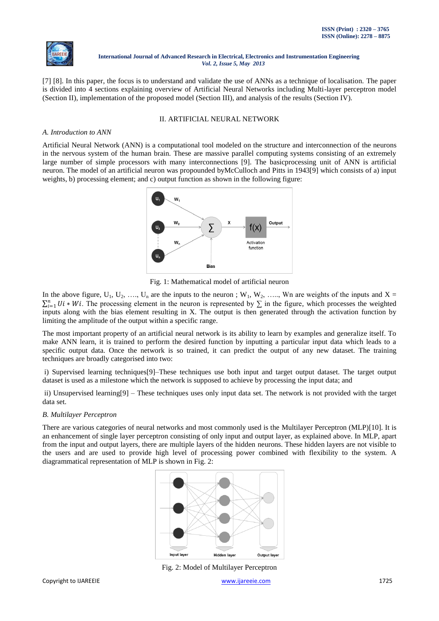

[7] [8]. In this paper, the focus is to understand and validate the use of ANNs as a technique of localisation. The paper is divided into 4 sections explaining overview of Artificial Neural Networks including Multi-layer perceptron model (Section II), implementation of the proposed model (Section III), and analysis of the results (Section IV).

# II. ARTIFICIAL NEURAL NETWORK

## *A. Introduction to ANN*

Artificial Neural Network (ANN) is a computational tool modeled on the structure and interconnection of the neurons in the nervous system of the human brain. These are massive parallel computing systems consisting of an extremely large number of simple processors with many interconnections [9]. The basicprocessing unit of ANN is artificial neuron. The model of an artificial neuron was propounded byMcCulloch and Pitts in 1943[9] which consists of a) input weights, b) processing element; and c) output function as shown in the following figure:



Fig. 1: Mathematical model of artificial neuron

In the above figure,  $U_1, U_2, \ldots, U_n$  are the inputs to the neuron ;  $W_1, W_2, \ldots, W_n$  are weights of the inputs and  $X =$  $\sum_{i=1}^n U_i * Wi$ . The processing element in the neuron is represented by  $\Sigma$  in the figure, which processes the weighted inputs along with the bias element resulting in X. The output is then generated through the activation function by limiting the amplitude of the output within a specific range.

The most important property of an artificial neural network is its ability to learn by examples and generalize itself. To make ANN learn, it is trained to perform the desired function by inputting a particular input data which leads to a specific output data. Once the network is so trained, it can predict the output of any new dataset. The training techniques are broadly categorised into two:

i) Supervised learning techniques[9]–These techniques use both input and target output dataset. The target output dataset is used as a milestone which the network is supposed to achieve by processing the input data; and

ii) Unsupervised learning[9] – These techniques uses only input data set. The network is not provided with the target data set.

# *B. Multilayer Perceptron*

There are various categories of neural networks and most commonly used is the Multilayer Perceptron (MLP)[10]. It is an enhancement of single layer perceptron consisting of only input and output layer, as explained above. In MLP, apart from the input and output layers, there are multiple layers of the hidden neurons. These hidden layers are not visible to the users and are used to provide high level of processing power combined with flexibility to the system. A diagrammatical representation of MLP is shown in Fig. 2:



Fig. 2: Model of Multilayer Perceptron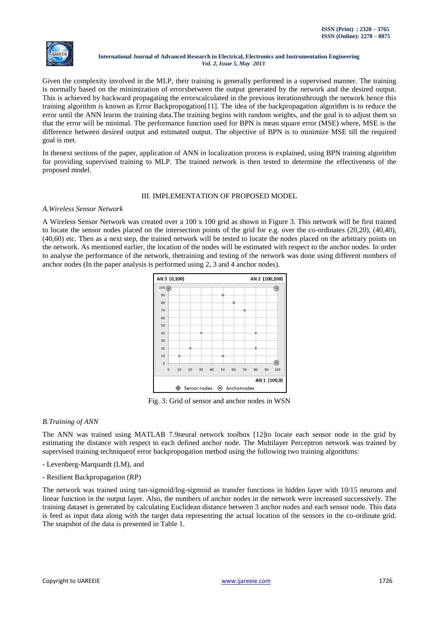

Given the complexity involved in the MLP, their training is generally performed in a supervised manner. The training is normally based on the minimization of errorsbetween the output generated by the network and the desired output. This is achieved by backward propagating the errorscalculated in the previous iterationsthrough the network hence this training algorithm is known as Error Backpropogation[11]. The idea of the backpropagation algorithm is to reduce the error until the ANN learns the training data.The training begins with random weights, and the goal is to adjust them so that the error will be minimal. The performance function used for BPN is mean square error (MSE) where, MSE is the difference between desired output and estimated output. The objective of BPN is to minimize MSE till the required goal is met.

In thenext sections of the paper, application of ANN in localization process is explained, using BPN training algorithm for providing supervised training to MLP. The trained network is then tested to determine the effectiveness of the proposed model.

# III. IMPLEMENTATION OF PROPOSED MODEL

## *A.Wireless Sensor Network*

A Wireless Sensor Network was created over a 100 x 100 grid as shown in Figure 3. This network will be first trained to locate the sensor nodes placed on the intersection points of the grid for e.g. over the co-ordinates (20,20), (40,40), (40,60) etc. Then as a next step, the trained network will be tested to locate the nodes placed on the arbitrary points on the network. As mentioned earlier, the location of the nodes will be estimated with respect to the anchor nodes. In order to analyse the performance of the network, thetraining and testing of the network was done using different numbers of anchor nodes (In the paper analysis is performed using 2, 3 and 4 anchor nodes).



Fig. 3: Grid of sensor and anchor nodes in WSN

# *B.Training of ANN*

The ANN was trained using MATLAB 7.9neural network toolbox [12]to locate each sensor node in the grid by estimating the distance with respect to each defined anchor node. The Multilayer Perceptron network was trained by supervised training techniqueof error backpropogation method using the following two training algorithms:

- Levenberg-Marquardt (LM), and
- Resilient Backpropagation (RP)

The network was trained using tan-sigmoid/log-sigmoid as transfer functions in hidden layer with 10/15 neurons and linear function in the output layer. Also, the numbers of anchor nodes in the network were increased successively. The training dataset is generated by calculating Euclidean distance between 3 anchor nodes and each sensor node. This data is feed as input data along with the target data representing the actual location of the sensors in the co-ordinate grid. The snapshot of the data is presented in Table 1.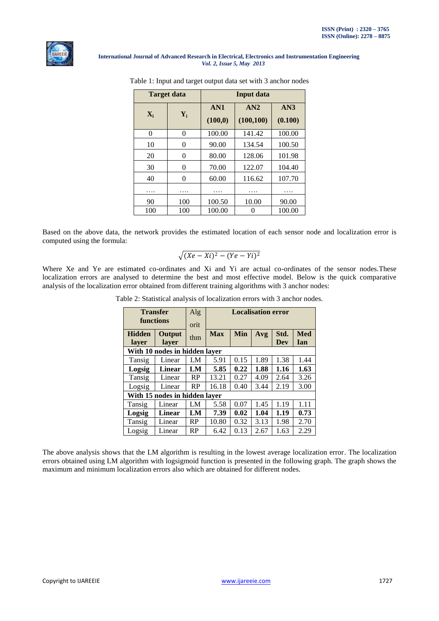

|                | <b>Target data</b> | Input data |                   |                |  |  |  |
|----------------|--------------------|------------|-------------------|----------------|--|--|--|
| $\mathbf{X}_i$ | $Y_i$              |            | AN2<br>(100, 100) | AN3<br>(0.100) |  |  |  |
| 0              | 0                  | 100.00     | 141.42            | 100.00         |  |  |  |
| 10             | 0                  | 90.00      | 134.54            | 100.50         |  |  |  |
| 20             | 0                  | 80.00      | 128.06            | 101.98         |  |  |  |
| 30             | 0                  | 70.00      | 122.07            | 104.40         |  |  |  |
| 40             | 0                  | 60.00      | 116.62            | 107.70         |  |  |  |
| .              | .                  | .          | .                 | .              |  |  |  |
| 90             | 100                | 100.50     | 10.00             | 90.00          |  |  |  |
| 100            | 100                | 100.00     |                   | 100.00         |  |  |  |

|  |  |  |  |  |  | Table 1: Input and target output data set with 3 anchor nodes |  |
|--|--|--|--|--|--|---------------------------------------------------------------|--|
|  |  |  |  |  |  |                                                               |  |

Based on the above data, the network provides the estimated location of each sensor node and localization error is computed using the formula:

$$
\sqrt{(Xe-Xi)^2-(Ye-Yi)^2}
$$

Where Xe and Ye are estimated co-ordinates and Xi and Yi are actual co-ordinates of the sensor nodes.These localization errors are analysed to determine the best and most effective model. Below is the quick comparative analysis of the localization error obtained from different training algorithms with 3 anchor nodes:

|  |  | Table 2: Statistical analysis of localization errors with 3 anchor nodes. |
|--|--|---------------------------------------------------------------------------|
|--|--|---------------------------------------------------------------------------|

| <b>Transfer</b>               |                               | Alg       | <b>Localisation error</b> |      |      |            |            |  |  |
|-------------------------------|-------------------------------|-----------|---------------------------|------|------|------------|------------|--|--|
| functions                     |                               | orit      |                           |      |      |            |            |  |  |
| <b>Hidden</b>                 | Output                        |           | <b>Max</b>                | Min  | Avg  | Std.       | <b>Med</b> |  |  |
| laver                         | laver                         | thm       |                           |      |      | <b>Dev</b> | Ian        |  |  |
| With 10 nodes in hidden layer |                               |           |                           |      |      |            |            |  |  |
| Tansig                        | Linear                        | LM        | 5.91                      | 0.15 | 1.89 | 1.38       | 1.44       |  |  |
| Logsig                        | Linear                        | LM        | 5.85                      | 0.22 | 1.88 | 1.16       | 1.63       |  |  |
| Tansig                        | Linear                        | RP        | 13.21                     | 0.27 | 4.09 | 2.64       | 3.26       |  |  |
| Logsig                        | Linear                        | RP        | 16.18<br>0.40             |      | 3.44 | 2.19       | 3.00       |  |  |
|                               | With 15 nodes in hidden layer |           |                           |      |      |            |            |  |  |
| Tansig                        | Linear                        | LM        | 5.58                      | 0.07 | 1.45 | 1.19       | 1.11       |  |  |
| Logsig                        | Linear                        | LM        | 7.39                      | 0.02 | 1.04 | 1.19       | 0.73       |  |  |
| Tansig                        | Linear                        | <b>RP</b> | 10.80                     | 0.32 | 3.13 | 1.98       | 2.70       |  |  |
| Logsig                        | Linear                        | RP        | 6.42                      | 0.13 | 2.67 | 1.63       | 2.29       |  |  |

The above analysis shows that the LM algorithm is resulting in the lowest average localization error. The localization errors obtained using LM algorithm with logsigmoid function is presented in the following graph. The graph shows the maximum and minimum localization errors also which are obtained for different nodes.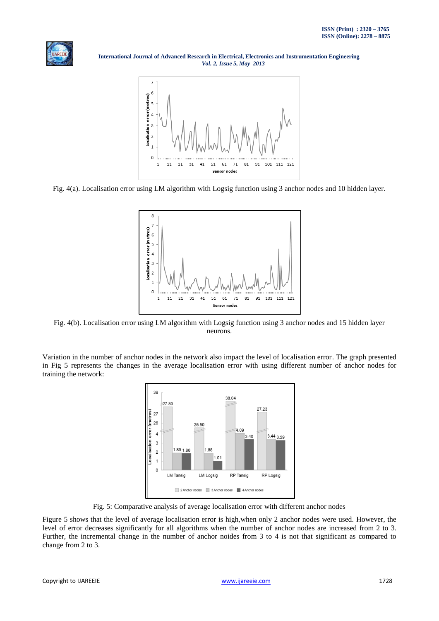

 **International Journal of Advanced Research in Electrical, Electronics and Instrumentation Engineering**  *Vol. 2, Issue 5, May 2013*



Fig. 4(a). Localisation error using LM algorithm with Logsig function using 3 anchor nodes and 10 hidden layer.



Fig. 4(b). Localisation error using LM algorithm with Logsig function using 3 anchor nodes and 15 hidden layer neurons.

Variation in the number of anchor nodes in the network also impact the level of localisation error. The graph presented in Fig 5 represents the changes in the average localisation error with using different number of anchor nodes for training the network:



Fig. 5: Comparative analysis of average localisation error with different anchor nodes

Figure 5 shows that the level of average localisation error is high,when only 2 anchor nodes were used. However, the level of error decreases significantly for all algorithms when the number of anchor nodes are increased from 2 to 3. Further, the incremental change in the number of anchor noides from 3 to 4 is not that significant as compared to change from 2 to 3.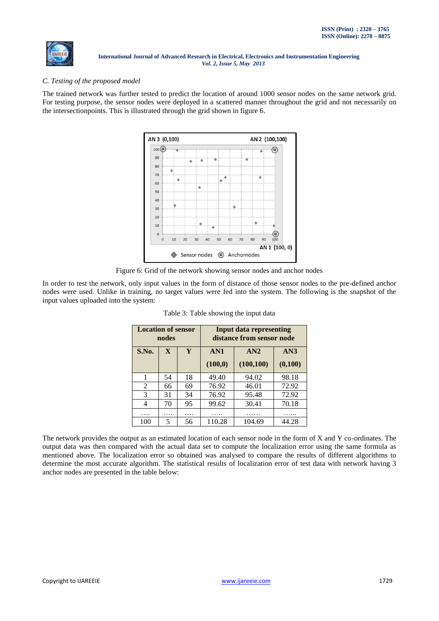

# *C. Testing of the proposed model*

The trained network was further tested to predict the location of around 1000 sensor nodes on the same network grid. For testing purpose, the sensor nodes were deployed in a scattered manner throughout the grid and not necessarily on the intersectionpoints. This is illustrated through the grid shown in figure 6.



Figure 6: Grid of the network showing sensor nodes and anchor nodes

In order to test the network, only input values in the form of distance of those sensor nodes to the pre-defined anchor nodes were used. Unlike in training, no target values were fed into the system. The following is the snapshot of the input values uploaded into the system:

| <b>Location of sensor</b> | nodes                   |    | Input data representing<br>distance from sensor node |                   |                |  |  |
|---------------------------|-------------------------|----|------------------------------------------------------|-------------------|----------------|--|--|
| S.No.                     | $\overline{\mathbf{X}}$ |    | AN1<br>(100, 0)                                      | AN2<br>(100, 100) | AN3<br>(0,100) |  |  |
| 1                         | 54                      | 18 | 49.40                                                | 94.02             | 98.18          |  |  |
| 2                         | 66                      | 69 | 76.92                                                | 46.01             | 72.92          |  |  |
| 3                         | 31                      | 34 | 76.92                                                | 95.48             | 72.92          |  |  |
| 4                         | 70                      | 95 | 99.62                                                | 30.41             | 70.18          |  |  |
| .                         | .                       | .  | .                                                    |                   |                |  |  |
| 100                       | 5                       | 56 | 110.28                                               | 104.69            | 44.28          |  |  |

| Table 3: Table showing the input data |  |  |  |  |
|---------------------------------------|--|--|--|--|
|                                       |  |  |  |  |

The network provides the output as an estimated location of each sensor node in the form of X and Y co-ordinates. The output data was then compared with the actual data set to compute the localization error using the same formula as mentioned above. The localization error so obtained was analysed to compare the results of different algorithms to determine the most accurate algorithm. The statistical results of localization error of test data with network having 3 anchor nodes are presented in the table below: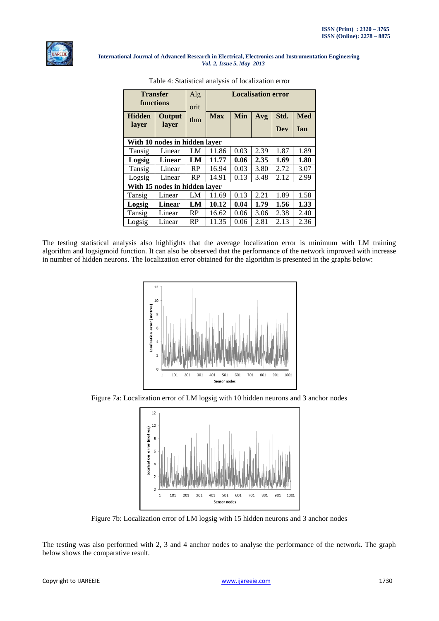

| <b>Transfer</b>               |                               | Alg       | <b>Localisation error</b> |      |      |      |            |  |  |
|-------------------------------|-------------------------------|-----------|---------------------------|------|------|------|------------|--|--|
| functions                     |                               | orit      |                           |      |      |      |            |  |  |
| <b>Hidden</b><br>Output       |                               | thm       | <b>Max</b>                | Min  | Avg  | Std. | <b>Med</b> |  |  |
| layer                         | layer                         |           |                           |      |      | Dev  | Ian        |  |  |
| With 10 nodes in hidden layer |                               |           |                           |      |      |      |            |  |  |
| Tansig                        | Linear                        | LM        | 11.86                     | 0.03 | 2.39 | 1.87 | 1.89       |  |  |
| Logsig                        | Linear                        | LM        | 11.77                     | 0.06 | 2.35 | 1.69 | 1.80       |  |  |
| Tansig                        | Linear                        | <b>RP</b> | 16.94                     | 0.03 | 3.80 | 2.72 | 3.07       |  |  |
| Logsig                        | Linear                        | RP        | 14.91                     | 0.13 | 3.48 | 2.12 | 2.99       |  |  |
|                               | With 15 nodes in hidden layer |           |                           |      |      |      |            |  |  |
| Tansig                        | Linear                        | LM        | 11.69                     | 0.13 | 2.21 | 1.89 | 1.58       |  |  |
| Logsig                        | Linear                        | LM        | 10.12                     | 0.04 | 1.79 | 1.56 | 1.33       |  |  |
| Tansig                        | Linear                        | RP        | 16.62                     | 0.06 | 3.06 | 2.38 | 2.40       |  |  |
| Logsig                        | Linear                        | RP        | 11.35                     | 0.06 | 2.81 | 2.13 | 2.36       |  |  |

Table 4: Statistical analysis of localization error

The testing statistical analysis also highlights that the average localization error is minimum with LM training algorithm and logsigmoid function. It can also be observed that the performance of the network improved with increase in number of hidden neurons. The localization error obtained for the algorithm is presented in the graphs below:



Figure 7a: Localization error of LM logsig with 10 hidden neurons and 3 anchor nodes



Figure 7b: Localization error of LM logsig with 15 hidden neurons and 3 anchor nodes

The testing was also performed with 2, 3 and 4 anchor nodes to analyse the performance of the network. The graph below shows the comparative result.